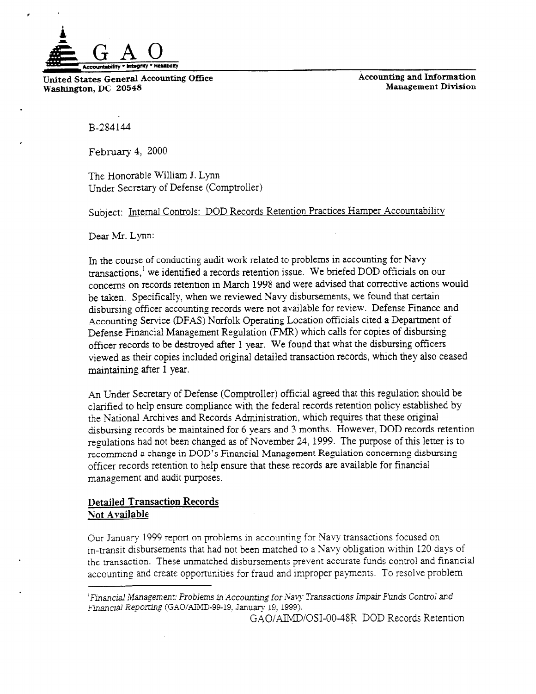

United States General Accounting Office **Replacement Accounting and Information**<br>Washington DC 20548 **Management Division** Washington, DC 20548

B-284 144

,

February 4, 2000

The Honorable William J. Lynn Under Secretary of Defense (Comptroller)

Subject: Internal Controls: DOD Records Retention Practices Hamper Accountability

Dear Mr. Lynn:

In the course of conducting audit work related to problems in accounting for Navy transactions,' we identified a records retention issue. We briefed DOD officials on our concerns on records retention in March 1998 and were advised that corrective actions would be taken. Specifically, when we reviewed Navy disbursements, we found that certain disbursing officer accounting records were not available for review. Defense Finance and Accounting Service (DFAS) Norfolk Operating Location officials cited a Department of Defense Financial Management Regulation (FMR) which calls for copies of disbursing officer records to be destroyed after 1 year. We found that what the disbursing officers viewed as their copies included original detailed transaction records, which they also ceased maintaining after 1 year.

An Under Secretary of Defense (Comptroller) official agreed that this regulation should be clarified to help ensure compliance with the federal records retention policy established by the National Archives and Records Administration, which requires that these original disbursing records be maintained for 6 years and 3 months. However, DOD records retention regulations had not been changed as of November 24, 1999. The purpose of this letter is to recommend a change in DOD's Financial Management Regulation concerning disbursing officer records retention to help ensure that these records are available for financial management and audit purposes.

# Detailed Transaction Records Not Available

Our January 1999 report on problems in accounting for Navy transactions focused on in-transit disbursements that had not been matched to a Navy obligation within 120 days of the transaction. These unmatched disbursements prevent accurate funds control and financial accounting and create opportunities for fraud and improper payments. To resolve problem

GAO/AIMD/OSI-00-48R DOD Records Retention

 $F$ inancial Management: Problems in Accounting for Navy Transactions Impair Funds Control and Financial Reporting (GAO/AIMD-99-19, January 19, 1999).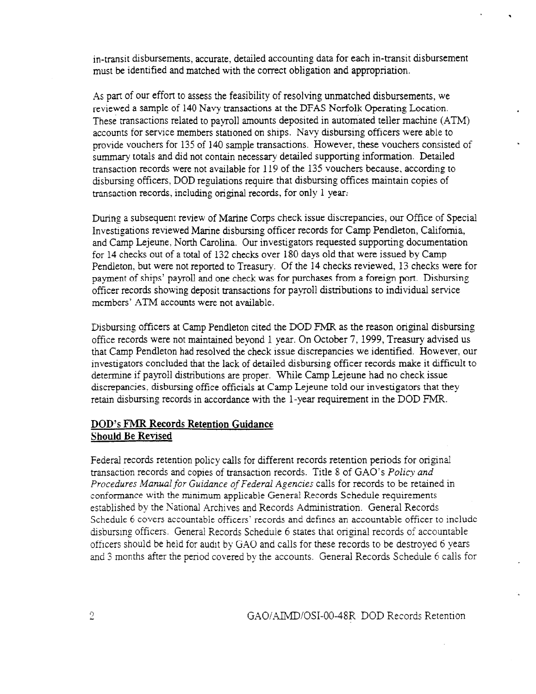in-transit disbursements, accurate, detailed accounting data for each in-transit disbursement must be identified and matched with the correct obligation and appropriation.

As part of our effort to assess the feasibility of resolving unmatched disbursements, we reviewed a sample of 140 Navy transactions at the DFAS Norfolk Operating Location. These transactions related to payroll amounts deposited in automated teller machine (ATM) accounts for service members stationed on ships. Navy disbursing officers were able to provide vouchers for 135 of 140 sample transactions. However, these vouchers consisted of summary totals and did not contain necessary detailed supporting information. Detailed transaction records were not available for 119 of the 135 vouchers because, according to disbursing officers, DOD regulations require that disbursing offices maintain copies of transaction records, including original records, for only 1 year:

During a subsequent review of Marine Corps check issue discrepancies, our Office of Special Investigations reviewed Marine disbursing officer records for Camp Pendleton, California, and Camp Lejeune, North Carolina. Our investigators requested supporting documentation for 14 checks out of a total of 132 checks over 180 days old that were issued by Camp Pendleton, but were not reported to Treasury. Of the 14 checks reviewed, 13 checks were for payment of ships' payroll and one check was for purchases from a foreign port. Disbursing officer records showing deposit transactions for payroll distributions to individual service members' ATM accounts were not available.

Disbursing officers at Camp Pendleton cited the DOD FMR as the reason original disbursing office records were not maintained beyond 1 year. On October 7, 1999, Treasury advised us that Camp PendIeton had resolved the check issue discrepancies we identified. However, our investigators concluded that the lack of detailed disbursing officer records make it difficult to determine if payroIl distributions are proper. While Camp Lejeune had no check issue discrepancies, disbursing office officials at Camp Lejeune told our investigators that they retain disbursing records in accordance with the l-year requirement in the DOD FMR.

# DOD's FMR Records Retention Guidance Should Be Revised

Federal records retention policy calls for different records retention periods for original transaction records and copies of transaction records. Title 8 of GAO's Policy and Procedures Manual for Guidance of Federal Agencies calls for records to be retained in conformance with the minimum applicable General Records Schedule requirements established by the National Archives and Records Administration. General Records Schedule 6 covers accountable officers' records and defines an accountable officer to include disbursing officers. General Records Schedule 6 states that original records of accountable officers should be held for audit by GAO and calls for these records to be destroyed 6 years and 3 months after the period covered by the accounts. General Records Schedule 6 calls for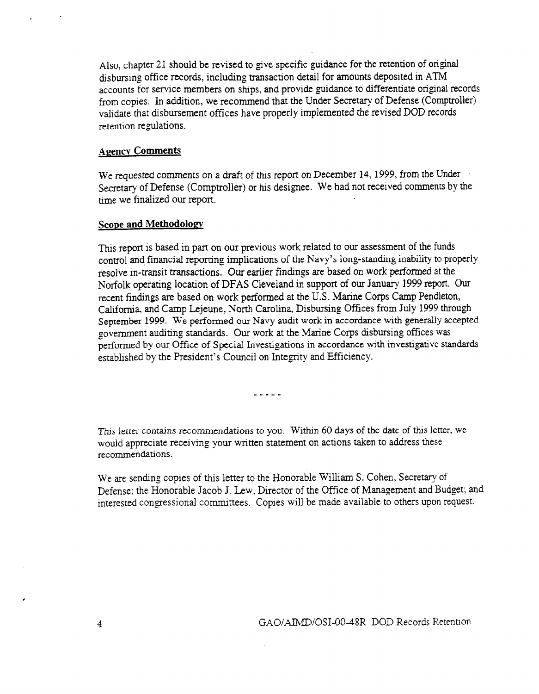also, chapter 21 should be revised to give specific guidance for the retention of original disbursing office records, including transaction detail for amounts deposited in ATM accounts for service members on ships, and provide guidance to differentiate original records from copies. In addition, we recommend that the Under Secretary of Defense (Comptroller) validate that disbursement offices have properly implemented the revised DOD records retention regulations.

## **Agency Comments**

We requested comments on a draft of this report on December 14,1999, from the Under Secretary of Defense (Comptroller) or his designee. We had not received comments by the time we finalized our report.

## Scope and Methodology

This report is based in part on our previous work related to our assessment of the funds control and financial reporting implications of the Navy's long-standing inability to properly resolve in-transit transactions. Our earlier findings are based on work performed at the Norfolk operating location of DFAS Cleveland in support of our January 1999 report. Our recent findings are based on work performed at the U.S. Marine Corps Camp Pendleton, California, and Camp Lejeune, North Carolina, Disbursing Offices from July 1999 through September 1999. We performed our Navy audit work in accordance with generally accepted government auditing standards. Our work at the Marine Corps disbursing offices was performed by our Office of Special Jnvestigations in accordance with investigative standards established by the President's Council on Integrity and Efficiency.

-----

This letter contains recommendations to you. Within 60 days of the date of this letter, we This fetter comains recommendations to you. Whilm of days of the date of this fetter would appreciate receiving your written statement on actions taken to address these recommendations.

We are sending copies of this letter to the Honorable William S. Cohen, Secretary of We are sending copies of this fetter to the Honorable William S. Collen, Secretary of  $\mathcal{L}$ Defense; the Honorable Jacob J. Lew, Director of the Office of Management and Budget; and interested congressional committees. Copies will be made available to others upon request.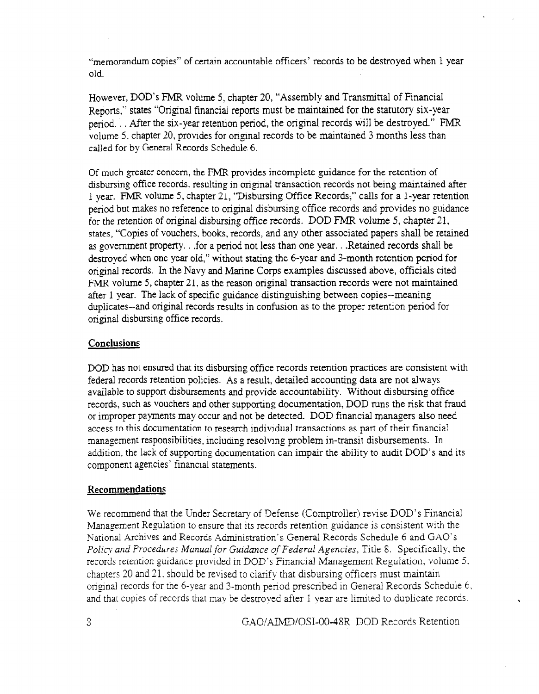"memorandum copies" of certain accountable officers' records to be destroyed when I year old.

However, DOD's FMR volume 5, chapter 20, "Assembly and Transmittal of Financial Reports," states "Original financial reports must be maintained for the statutory six-year period. . . After the six-year retention period, the original records WiIl be destroyed." FMR volume 5. chapter 20, provides for original records to be maintained 3 months less than called for by General Records Schedule 6.

Of much greater concern, the FMR provides incomplete guidance for the retention of disbursing office records, resulting in original transaction records not being maintained after 1 year. FMR volume 5, chapter 21, "Disbursing Office Records;" calls for a l-year retention period but makes no reference to original disbursing office records and provides no guidance for the retention of original disbursing office records. DOD FMR volume 5, chapter 21, states, "Copies of vouchers, books, records, and any other associated papers shall be retained as government property. . .for a period not less than one year. . .Retained records shall be destroyed when one year old," without stating the 6-year and 3-month retention period for original records. In the Navy and Marine Corps examples discussed above, officials cited FMR volume 5, chapter 21, as the reason original transaction records were not maintained after 1 year. The lack of specific guidance distinguishing between copies--meaning  $d_{\text{tot}}$  is the cordinal records records results in confusion as to the proper retention period for ouplicates-and original records re

## **Conclusions**

DOD has not ensured that its disbursing office records retention practices are consistent with federal records retention policies. As a result, detailed accounting data are not always federal records retention policies. As a result, detailed accounting data are not always available to support disbursements and provide accountability. Without disbursing office records, such as vouchers and other supporting documentation, DOD runs the risk that fraud or improper payments may occur and not be detected. DOD financial managers also need access to this documentation to research individual transactions as part of their financial management responsibilities, including resolving problem in-transit disbursements. In addition, the lack of supporting documentation can impair the ability to audit DOD's and its component agencies' financial statements.

We recommend that the Under Secretary of Defense (Comptroller) revise DOD's Financial Management Regulation to ensure that its records retention guidance is consistent with the National Archives and Records Administration's General Records Schedule 6 and GAO's Policy and Procedures Manual for Guidance of Federal Agencies, Title 8. Specifically, the records retention guidance provided in DOD's Financial Management Regulation, volume 5, chapters 20 and 21, should be revised to clarify that disbursing officers must maintain original records for the 6-year and 3-month period prescribed in General Records Schedule 6, and that copies of records that may be destroyed after 1 year are limited to duplicate records.

 $3.9$  G.40/AIMD/OSI-00-48R DOD Records Records Records Records Records Records Records Records Records Records Records Records Records Records Records Records Records Records Records Records Records Records Records Record

GAO/AIMD/OSI-00-48R DOD Records Retention

 $\mathcal{S}$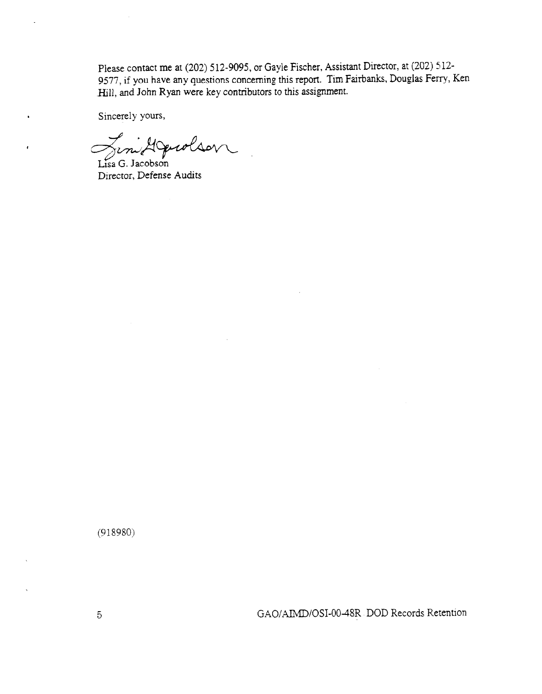Please contact me at (202) 512-9095, or Gayle Fischer, Assistant Director, at (202) 512-9577, if you have any questions concerning this report. Tim Fairbanks, Douglas Ferry, Ken .Hill, and John Ryan were key contributors to this assignment.

Sincerely yours,

 $\bullet$ 

Jim Agendson

Director, Defense Audits

(918980)

GAO/AIMD/OSI-00-48R DOD Records Retention

 $\overline{5}$